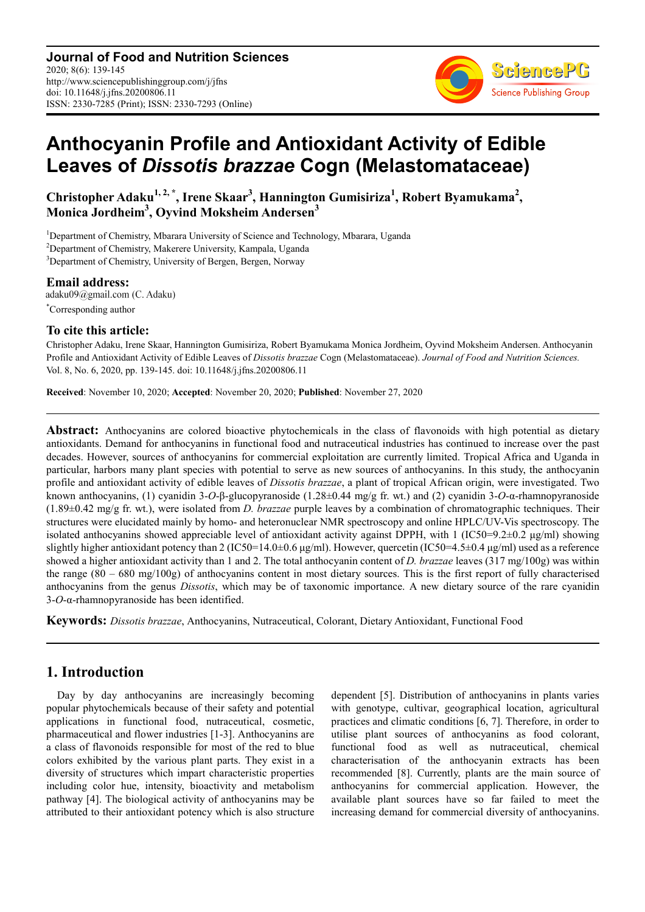**Journal of Food and Nutrition Sciences** 2020; 8(6): 139-145 http://www.sciencepublishinggroup.com/j/jfns doi: 10.11648/j.jfns.20200806.11 ISSN: 2330-7285 (Print); ISSN: 2330-7293 (Online)



# **Anthocyanin Profile and Antioxidant Activity of Edible Leaves of** *Dissotis brazzae* **Cogn (Melastomataceae)**

**Christopher Adaku1, 2, \*, Irene Skaar<sup>3</sup> , Hannington Gumisiriza<sup>1</sup> , Robert Byamukama<sup>2</sup> , Monica Jordheim<sup>3</sup> , Oyvind Moksheim Andersen<sup>3</sup>**

<sup>1</sup>Department of Chemistry, Mbarara University of Science and Technology, Mbarara, Uganda <sup>2</sup>Department of Chemistry, Makerere University, Kampala, Uganda <sup>3</sup>Department of Chemistry, University of Bergen, Bergen, Norway

**Email address:**<br>adaku09@gmail.com (C. Adaku) \*Corresponding author

# **To cite this article:**

Christopher Adaku, Irene Skaar, Hannington Gumisiriza, Robert Byamukama Monica Jordheim, Oyvind Moksheim Andersen. Anthocyanin Profile and Antioxidant Activity of Edible Leaves of *Dissotis brazzae* Cogn (Melastomataceae). *Journal of Food and Nutrition Sciences.*  Vol. 8, No. 6, 2020, pp. 139-145. doi: 10.11648/j.jfns.20200806.11

**Received**: November 10, 2020; **Accepted**: November 20, 2020; **Published**: November 27, 2020

**Abstract:** Anthocyanins are colored bioactive phytochemicals in the class of flavonoids with high potential as dietary antioxidants. Demand for anthocyanins in functional food and nutraceutical industries has continued to increase over the past decades. However, sources of anthocyanins for commercial exploitation are currently limited. Tropical Africa and Uganda in particular, harbors many plant species with potential to serve as new sources of anthocyanins. In this study, the anthocyanin profile and antioxidant activity of edible leaves of *Dissotis brazzae*, a plant of tropical African origin, were investigated. Two known anthocyanins, (1) cyanidin 3-*O*-β-glucopyranoside (1.28±0.44 mg/g fr. wt.) and (2) cyanidin 3-*O*-α-rhamnopyranoside (1.89±0.42 mg/g fr. wt.), were isolated from *D. brazzae* purple leaves by a combination of chromatographic techniques. Their structures were elucidated mainly by homo- and heteronuclear NMR spectroscopy and online HPLC/UV-Vis spectroscopy. The isolated anthocyanins showed appreciable level of antioxidant activity against DPPH, with 1 (IC50=9.2 $\pm$ 0.2 µg/ml) showing slightly higher antioxidant potency than 2 (IC50=14.0±0.6  $\mu$ g/ml). However, quercetin (IC50=4.5±0.4  $\mu$ g/ml) used as a reference showed a higher antioxidant activity than 1 and 2. The total anthocyanin content of *D. brazzae* leaves (317 mg/100g) was within the range (80 – 680 mg/100g) of anthocyanins content in most dietary sources. This is the first report of fully characterised anthocyanins from the genus *Dissotis*, which may be of taxonomic importance. A new dietary source of the rare cyanidin 3-*O*-α-rhamnopyranoside has been identified.

**Keywords:** *Dissotis brazzae*, Anthocyanins, Nutraceutical, Colorant, Dietary Antioxidant, Functional Food

# **1. Introduction**

Day by day anthocyanins are increasingly becoming popular phytochemicals because of their safety and potential applications in functional food, nutraceutical, cosmetic, pharmaceutical and flower industries [1-3]. Anthocyanins are a class of flavonoids responsible for most of the red to blue colors exhibited by the various plant parts. They exist in a diversity of structures which impart characteristic properties including color hue, intensity, bioactivity and metabolism pathway [4]. The biological activity of anthocyanins may be attributed to their antioxidant potency which is also structure dependent [5]. Distribution of anthocyanins in plants varies with genotype, cultivar, geographical location, agricultural practices and climatic conditions [6, 7]. Therefore, in order to utilise plant sources of anthocyanins as food colorant, functional food as well as nutraceutical, chemical characterisation of the anthocyanin extracts has been recommended [8]. Currently, plants are the main source of anthocyanins for commercial application. However, the available plant sources have so far failed to meet the increasing demand for commercial diversity of anthocyanins.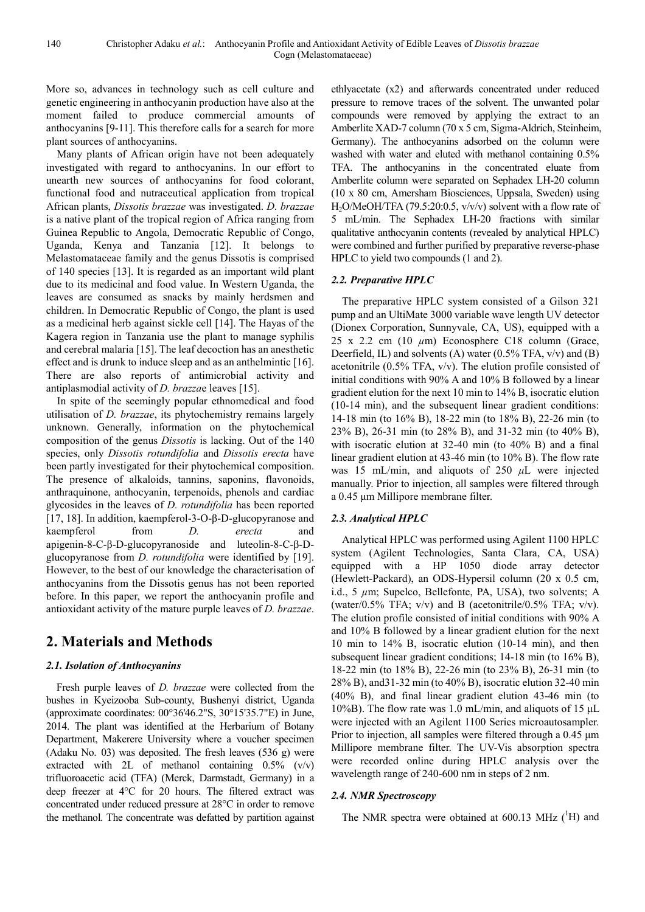More so, advances in technology such as cell culture and genetic engineering in anthocyanin production have also at the moment failed to produce commercial amounts of anthocyanins [9-11]. This therefore calls for a search for more plant sources of anthocyanins.

Many plants of African origin have not been adequately investigated with regard to anthocyanins. In our effort to unearth new sources of anthocyanins for food colorant, functional food and nutraceutical application from tropical African plants, *Dissotis brazzae* was investigated. *D. brazzae* is a native plant of the tropical region of Africa ranging from Guinea Republic to Angola, Democratic Republic of Congo, Uganda, Kenya and Tanzania [12]. It belongs to Melastomataceae family and the genus Dissotis is comprised of 140 species [13]. It is regarded as an important wild plant due to its medicinal and food value. In Western Uganda, the leaves are consumed as snacks by mainly herdsmen and children. In Democratic Republic of Congo, the plant is used as a medicinal herb against sickle cell [14]. The Hayas of the Kagera region in Tanzania use the plant to manage syphilis and cerebral malaria [15]. The leaf decoction has an anesthetic effect and is drunk to induce sleep and as an anthelmintic [16]. There are also reports of antimicrobial activity and antiplasmodial activity of *D. brazza*e leaves [15].

In spite of the seemingly popular ethnomedical and food utilisation of *D. brazzae*, its phytochemistry remains largely unknown. Generally, information on the phytochemical composition of the genus *Dissotis* is lacking. Out of the 140 species, only *Dissotis rotundifolia* and *Dissotis erecta* have been partly investigated for their phytochemical composition. The presence of alkaloids, tannins, saponins, flavonoids, anthraquinone, anthocyanin, terpenoids, phenols and cardiac glycosides in the leaves of *D. rotundifolia* has been reported [17, 18]. In addition, kaempferol-3-O-β-D-glucopyranose and kaempferol from *D. erecta* and apigenin-8-C-β-D-glucopyranoside and luteolin-8-C-β-Dglucopyranose from *D. rotundifolia* were identified by [19]. However, to the best of our knowledge the characterisation of anthocyanins from the Dissotis genus has not been reported before. In this paper, we report the anthocyanin profile and antioxidant activity of the mature purple leaves of *D. brazzae*.

# **2. Materials and Methods**

# *2.1. Isolation of Anthocyanins*

Fresh purple leaves of *D. brazzae* were collected from the bushes in Kyeizooba Sub-county, Bushenyi district, Uganda (approximate coordinates: 00°36'46.2"S, 30°15'35.7"E) in June, 2014. The plant was identified at the Herbarium of Botany Department, Makerere University where a voucher specimen (Adaku No. 03) was deposited. The fresh leaves (536 g) were extracted with 2L of methanol containing  $0.5\%$  (v/v) trifluoroacetic acid (TFA) (Merck, Darmstadt, Germany) in a deep freezer at 4°C for 20 hours. The filtered extract was concentrated under reduced pressure at 28°C in order to remove the methanol. The concentrate was defatted by partition against ethlyacetate (x2) and afterwards concentrated under reduced pressure to remove traces of the solvent. The unwanted polar compounds were removed by applying the extract to an Amberlite XAD-7 column (70 x 5 cm, Sigma-Aldrich, Steinheim, Germany). The anthocyanins adsorbed on the column were washed with water and eluted with methanol containing 0.5% TFA. The anthocyanins in the concentrated eluate from Amberlite column were separated on Sephadex LH-20 column (10 x 80 cm, Amersham Biosciences, Uppsala, Sweden) using H<sub>2</sub>O/MeOH/TFA (79.5:20:0.5, v/v/v) solvent with a flow rate of 5 mL/min. The Sephadex LH-20 fractions with similar qualitative anthocyanin contents (revealed by analytical HPLC) were combined and further purified by preparative reverse-phase HPLC to yield two compounds (1 and 2).

## *2.2. Preparative HPLC*

The preparative HPLC system consisted of a Gilson 321 pump and an UltiMate 3000 variable wave length UV detector (Dionex Corporation, Sunnyvale, CA, US), equipped with a  $25 \times 2.2$  cm (10  $\mu$ m) Econosphere C18 column (Grace, Deerfield, IL) and solvents (A) water  $(0.5\%$  TFA,  $v/v$ ) and  $(B)$ acetonitrile  $(0.5\%$  TFA,  $v/v$ ). The elution profile consisted of initial conditions with 90% A and 10% B followed by a linear gradient elution for the next 10 min to 14% B, isocratic elution (10-14 min), and the subsequent linear gradient conditions: 14-18 min (to 16% B), 18-22 min (to 18% B), 22-26 min (to 23% B), 26-31 min (to 28% B), and 31-32 min (to 40% B), with isocratic elution at 32-40 min (to 40% B) and a final linear gradient elution at 43-46 min (to 10% B). The flow rate was 15 mL/min, and aliquots of 250 *µ*L were injected manually. Prior to injection, all samples were filtered through a 0.45 µm Millipore membrane filter.

### *2.3. Analytical HPLC*

Analytical HPLC was performed using Agilent 1100 HPLC system (Agilent Technologies, Santa Clara, CA, USA) equipped with a HP 1050 diode array detector (Hewlett-Packard), an ODS-Hypersil column (20 x 0.5 cm, i.d., 5 *µ*m; Supelco, Bellefonte, PA, USA), two solvents; A (water/0.5% TFA;  $v/v$ ) and B (acetonitrile/0.5% TFA;  $v/v$ ). The elution profile consisted of initial conditions with 90% A and 10% B followed by a linear gradient elution for the next 10 min to 14% B, isocratic elution (10-14 min), and then subsequent linear gradient conditions; 14-18 min (to 16% B), 18-22 min (to 18% B), 22-26 min (to 23% B), 26-31 min (to 28% B), and31-32 min (to 40% B), isocratic elution 32-40 min (40% B), and final linear gradient elution 43-46 min (to 10%B). The flow rate was 1.0 mL/min, and aliquots of 15  $\mu$ L were injected with an Agilent 1100 Series microautosampler. Prior to injection, all samples were filtered through a 0.45  $\mu$ m Millipore membrane filter. The UV-Vis absorption spectra were recorded online during HPLC analysis over the wavelength range of 240-600 nm in steps of 2 nm.

### *2.4. NMR Spectroscopy*

The NMR spectra were obtained at  $600.13$  MHz ( $\rm{^1H}$ ) and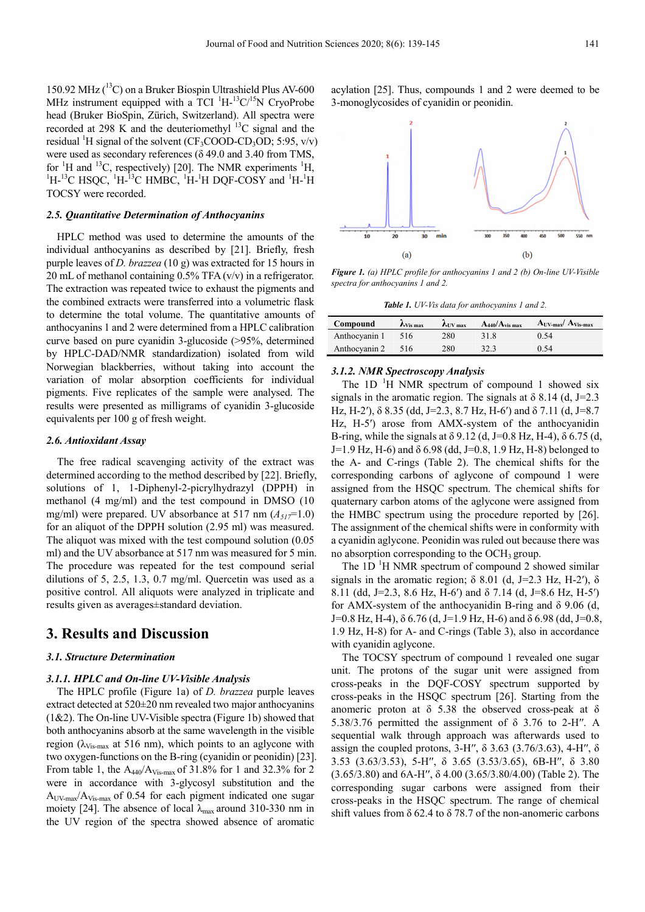150.92 MHz  $(^{13}C)$  on a Bruker Biospin Ultrashield Plus AV-600 MHz instrument equipped with a TCI  $^1H^{-13}C^{15}N$  CryoProbe head (Bruker BioSpin, Zürich, Switzerland). All spectra were recorded at 298 K and the deuteriomethyl  $^{13}$ C signal and the residual <sup>1</sup>H signal of the solvent (CF<sub>3</sub>COOD-CD<sub>3</sub>OD; 5:95,  $v/v$ ) were used as secondary references (δ 49.0 and 3.40 from TMS, for  ${}^{1}H$  and  ${}^{13}C$ , respectively) [20]. The NMR experiments  ${}^{1}H$ ,  ${}^{1}$ H- ${}^{13}$ C HSQC,  ${}^{1}$ H- ${}^{13}$ C HMBC,  ${}^{1}$ H- ${}^{1}$ H DQF-COSY and  ${}^{1}$ H- ${}^{1}$ H TOCSY were recorded.

#### *2.5. Quantitative Determination of Anthocyanins*

HPLC method was used to determine the amounts of the individual anthocyanins as described by [21]. Briefly, fresh purple leaves of *D. brazzea* (10 g) was extracted for 15 hours in 20 mL of methanol containing 0.5% TFA (v/v) in a refrigerator. The extraction was repeated twice to exhaust the pigments and the combined extracts were transferred into a volumetric flask to determine the total volume. The quantitative amounts of anthocyanins 1 and 2 were determined from a HPLC calibration curve based on pure cyanidin 3-glucoside (>95%, determined by HPLC-DAD/NMR standardization) isolated from wild Norwegian blackberries, without taking into account the variation of molar absorption coefficients for individual pigments. Five replicates of the sample were analysed. The results were presented as milligrams of cyanidin 3-glucoside equivalents per 100 g of fresh weight.

#### *2.6. Antioxidant Assay*

The free radical scavenging activity of the extract was determined according to the method described by [22]. Briefly, solutions of 1, 1-Diphenyl-2-picrylhydrazyl (DPPH) in methanol (4 mg/ml) and the test compound in DMSO (10 mg/ml) were prepared. UV absorbance at 517 nm  $(A_{51} = 1.0)$ for an aliquot of the DPPH solution (2.95 ml) was measured. The aliquot was mixed with the test compound solution (0.05 ml) and the UV absorbance at 517 nm was measured for 5 min. The procedure was repeated for the test compound serial dilutions of 5, 2.5, 1.3, 0.7 mg/ml. Quercetin was used as a positive control. All aliquots were analyzed in triplicate and results given as averages±standard deviation.

# **3. Results and Discussion**

#### *3.1. Structure Determination*

#### *3.1.1. HPLC and On-line UV-Visible Analysis*

The HPLC profile (Figure 1a) of *D. brazzea* purple leaves extract detected at 520±20 nm revealed two major anthocyanins  $(1&2)$ . The On-line UV-Visible spectra (Figure 1b) showed that both anthocyanins absorb at the same wavelength in the visible region ( $\lambda_{Vis-max}$  at 516 nm), which points to an aglycone with two oxygen-functions on the B-ring (cyanidin or peonidin) [23]. From table 1, the  $A_{440}/A_{Vis-max}$  of 31.8% for 1 and 32.3% for 2 were in accordance with 3-glycosyl substitution and the  $A<sub>UV-max</sub>/A<sub>Vis-max</sub>$  of 0.54 for each pigment indicated one sugar moiety [24]. The absence of local  $\lambda_{\text{max}}$  around 310-330 nm in the UV region of the spectra showed absence of aromatic

acylation [25]. Thus, compounds 1 and 2 were deemed to be 3-monoglycosides of cyanidin or peonidin.



*Figure 1. (a) HPLC profile for anthocyanins 1 and 2 (b) On-line UV-Visible spectra for anthocyanins 1 and 2.* 

*Table 1. UV-Vis data for anthocyanins 1 and 2.* 

| Compound      | $\mathcal{N}_{\text{Vis max}}$ | $\lambda$ IIV max | $A_{440}/A_{vis \, max}$ | $A_{UV-max}/A_{Vis-max}$ |
|---------------|--------------------------------|-------------------|--------------------------|--------------------------|
| Anthocyanin 1 | 516                            | 280               | 31.8                     | 0.54                     |
| Anthocyanin 2 | 516                            | 280               | 32.3                     | 0.54                     |

### *3.1.2. NMR Spectroscopy Analysis*

The 1D  $\mathrm{H}$  NMR spectrum of compound 1 showed six signals in the aromatic region. The signals at  $\delta$  8.14 (d, J=2.3) Hz, H-2'),  $\delta$  8.35 (dd, J=2.3, 8.7 Hz, H-6') and  $\delta$  7.11 (d, J=8.7 Hz, H-5<sup>'</sup>) arose from AMX-system of the anthocyanidin B-ring, while the signals at  $\delta$  9.12 (d, J=0.8 Hz, H-4),  $\delta$  6.75 (d, J=1.9 Hz, H-6) and  $\delta$  6.98 (dd, J=0.8, 1.9 Hz, H-8) belonged to the A- and C-rings (Table 2). The chemical shifts for the corresponding carbons of aglycone of compound 1 were assigned from the HSQC spectrum. The chemical shifts for quaternary carbon atoms of the aglycone were assigned from the HMBC spectrum using the procedure reported by [26]. The assignment of the chemical shifts were in conformity with a cyanidin aglycone. Peonidin was ruled out because there was no absorption corresponding to the  $OCH_3$  group.

The  $1D<sup>1</sup>H NMR$  spectrum of compound 2 showed similar signals in the aromatic region;  $\delta$  8.01 (d, J=2.3 Hz, H-2'),  $\delta$ 8.11 (dd, J=2.3, 8.6 Hz, H-6′) and δ 7.14 (d, J=8.6 Hz, H-5′) for AMX-system of the anthocyanidin B-ring and δ 9.06 (d, J=0.8 Hz, H-4),  $\delta$  6.76 (d, J=1.9 Hz, H-6) and  $\delta$  6.98 (dd, J=0.8, 1.9 Hz, H-8) for A- and C-rings (Table 3), also in accordance with cyanidin aglycone.

The TOCSY spectrum of compound 1 revealed one sugar unit. The protons of the sugar unit were assigned from cross-peaks in the DQF-COSY spectrum supported by cross-peaks in the HSQC spectrum [26]. Starting from the anomeric proton at  $\delta$  5.38 the observed cross-peak at  $\delta$ 5.38/3.76 permitted the assignment of δ 3.76 to 2-H′′. A sequential walk through approach was afterwards used to assign the coupled protons, 3-H′′, δ 3.63 (3.76/3.63), 4-H′′, δ 3.53 (3.63/3.53), 5-H′′, δ 3.65 (3.53/3.65), 6B-H′′, δ 3.80 (3.65/3.80) and 6A-H′′, δ 4.00 (3.65/3.80/4.00) (Table 2). The corresponding sugar carbons were assigned from their cross-peaks in the HSQC spectrum. The range of chemical shift values from  $\delta$  62.4 to  $\delta$  78.7 of the non-anomeric carbons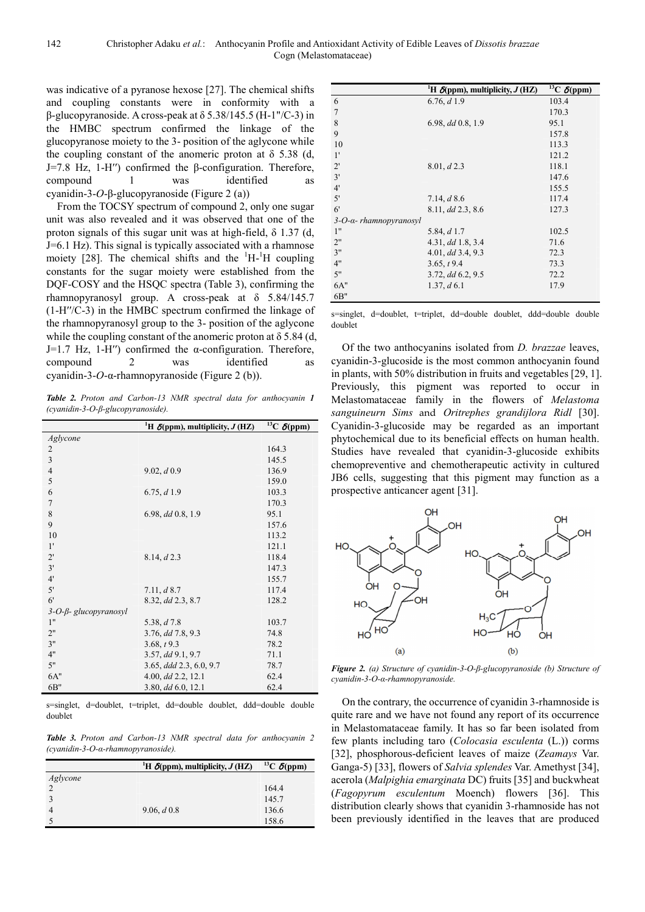was indicative of a pyranose hexose [27]. The chemical shifts and coupling constants were in conformity with a β-glucopyranoside. A cross-peak at δ 5.38/145.5 (H-1"/C-3) in the HMBC spectrum confirmed the linkage of the glucopyranose moiety to the 3- position of the aglycone while the coupling constant of the anomeric proton at  $\delta$  5.38 (d, J=7.8 Hz, 1-H′′) confirmed the β-configuration. Therefore, compound 1 was identified as cyanidin-3-*O*-β-glucopyranoside (Figure 2 (a))

From the TOCSY spectrum of compound 2, only one sugar unit was also revealed and it was observed that one of the proton signals of this sugar unit was at high-field,  $\delta$  1.37 (d, J=6.1 Hz). This signal is typically associated with a rhamnose moiety [28]. The chemical shifts and the  $\mathrm{^{1}H_{1}}$ - $\mathrm{^{1}H}$  coupling constants for the sugar moiety were established from the DQF-COSY and the HSQC spectra (Table 3), confirming the rhamnopyranosyl group. A cross-peak at δ 5.84/145.7 (1-H′′/C-3) in the HMBC spectrum confirmed the linkage of the rhamnopyranosyl group to the 3- position of the aglycone while the coupling constant of the anomeric proton at  $\delta$  5.84 (d, J=1.7 Hz, 1-H'') confirmed the  $\alpha$ -configuration. Therefore, compound 2 was identified as cyanidin-3-*O*-α-rhamnopyranoside (Figure 2 (b)).

*Table 2. Proton and Carbon-13 NMR spectral data for anthocyanin 1 (cyanidin-3-O-β-glucopyranoside).* 

|                                  | <sup>1</sup> H $\delta$ (ppm), multiplicity, <i>J</i> (HZ) | <sup>13</sup> C $\delta$ (ppm) |
|----------------------------------|------------------------------------------------------------|--------------------------------|
| Aglycone                         |                                                            |                                |
| 2                                |                                                            | 164.3                          |
| $\overline{3}$                   |                                                            | 145.5                          |
| $\overline{4}$                   | 9.02, d0.9                                                 | 136.9                          |
| 5                                |                                                            | 159.0                          |
| 6                                | 6.75, d1.9                                                 | 103.3                          |
| $\overline{7}$                   |                                                            | 170.3                          |
| 8                                | $6.98, dd\,0.8, 1.9$                                       | 95.1                           |
| 9                                |                                                            | 157.6                          |
| 10                               |                                                            | 113.2                          |
| 1'                               |                                                            | 121.1                          |
| $2^{\prime}$                     | 8.14, d2.3                                                 | 118.4                          |
| 3'                               |                                                            | 147.3                          |
| 4'                               |                                                            | 155.7                          |
| 5'                               | 7.11, d8.7                                                 | 117.4                          |
| 6 <sup>′</sup>                   | 8.32, dd 2.3, 8.7                                          | 128.2                          |
| $3$ -O- $\beta$ - glucopyranosyl |                                                            |                                |
| 1"                               | 5.38, $d7.8$                                               | 103.7                          |
| 2"                               | $3.76$ , dd $7.8$ , $9.3$                                  | 74.8                           |
| 3"                               | 3.68, t9.3                                                 | 78.2                           |
| 4"                               | 3.57, dd 9.1, 9.7                                          | 71.1                           |
| 5"                               | $3.65$ , ddd $2.3$ , $6.0$ , $9.7$                         | 78.7                           |
| 6A"                              | $4.00, dd$ 2.2, 12.1                                       | 62.4                           |
| 6B"                              | $3.80, dd\ 6.0, 12.1$                                      | 62.4                           |

s=singlet, d=doublet, t=triplet, dd=double doublet, ddd=double double doublet

*Table 3. Proton and Carbon-13 NMR spectral data for anthocyanin 2 (cyanidin-3-O-α-rhamnopyranoside).* 

|                | <sup>1</sup> H $\delta$ (ppm), multiplicity, J (HZ) | <sup>13</sup> C $\delta$ (ppm) |
|----------------|-----------------------------------------------------|--------------------------------|
| Aglycone       |                                                     |                                |
| $\mathfrak{D}$ |                                                     | 164.4                          |
|                |                                                     | 145.7                          |
| 4              | 9.06, $d\,0.8$                                      | 136.6                          |
|                |                                                     | 158.6                          |

|                                    | <sup>1</sup> H $\delta$ (ppm), multiplicity, J (HZ) | $^{13}C \delta(ppm)$ |
|------------------------------------|-----------------------------------------------------|----------------------|
| 6                                  | 6.76, d1.9                                          | 103.4                |
| $\overline{7}$                     |                                                     | 170.3                |
| 8                                  | $6.98, dd\,0.8, 1.9$                                | 95.1                 |
| 9                                  |                                                     | 157.8                |
| 10                                 |                                                     | 113.3                |
| 1'                                 |                                                     | 121.2                |
| $2^{\prime}$                       | 8.01, d2.3                                          | 118.1                |
| 3'                                 |                                                     | 147.6                |
| 4'                                 |                                                     | 155.5                |
| 5'                                 | 7.14, $d$ 8.6                                       | 117.4                |
| 6'                                 | 8.11, dd 2.3, 8.6                                   | 127.3                |
| $3$ -O- $\alpha$ - rhamnopyranosyl |                                                     |                      |
| 1"                                 | 5.84, $d$ 1.7                                       | 102.5                |
| 2"                                 | 4.31, dd 1.8, 3.4                                   | 71.6                 |
| 3"                                 | $4.01,$ dd $3.4, 9.3$                               | 72.3                 |
| 4"                                 | 3.65, t9.4                                          | 73.3                 |
| 5"                                 | $3.72$ , dd $6.2$ , $9.5$                           | 72.2                 |
| 6A"                                | $1.37, d \, 6.1$                                    | 17.9                 |
| 6B"                                |                                                     |                      |

s=singlet, d=doublet, t=triplet, dd=double doublet, ddd=double double doublet

Of the two anthocyanins isolated from *D. brazzae* leaves, cyanidin-3-glucoside is the most common anthocyanin found in plants, with 50% distribution in fruits and vegetables [29, 1]. Previously, this pigment was reported to occur in Melastomataceae family in the flowers of *Melastoma sanguineurn Sims* and *Oritrephes grandijlora Ridl* [30]. Cyanidin-3-glucoside may be regarded as an important phytochemical due to its beneficial effects on human health. Studies have revealed that cyanidin-3-glucoside exhibits chemopreventive and chemotherapeutic activity in cultured JB6 cells, suggesting that this pigment may function as a prospective anticancer agent [31].



*Figure 2. (a) Structure of cyanidin-3-O-β-glucopyranoside (b) Structure of cyanidin-3-O-α-rhamnopyranoside.* 

On the contrary, the occurrence of cyanidin 3-rhamnoside is quite rare and we have not found any report of its occurrence in Melastomataceae family. It has so far been isolated from few plants including taro (*Colocasia esculenta* (L.)) corms [32], phosphorous-deficient leaves of maize (*Zeamays* Var. Ganga-5) [33], flowers of *Salvia splendes* Var. Amethyst [34], acerola (*Malpighia emarginata* DC) fruits [35] and buckwheat (*Fagopyrum esculentum* Moench) flowers [36]. This distribution clearly shows that cyanidin 3-rhamnoside has not been previously identified in the leaves that are produced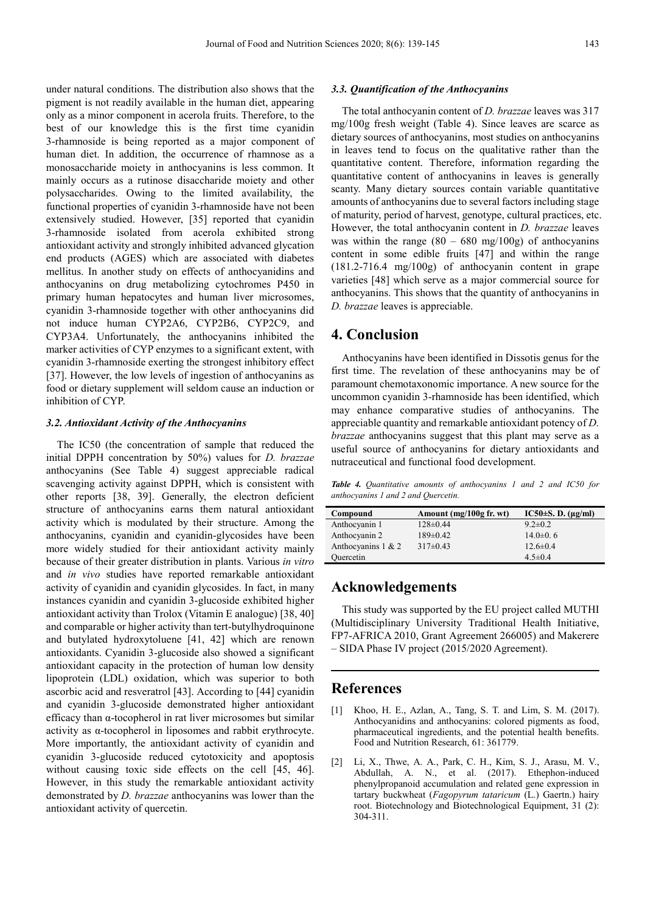under natural conditions. The distribution also shows that the pigment is not readily available in the human diet, appearing only as a minor component in acerola fruits. Therefore, to the best of our knowledge this is the first time cyanidin 3-rhamnoside is being reported as a major component of human diet. In addition, the occurrence of rhamnose as a monosaccharide moiety in anthocyanins is less common. It mainly occurs as a rutinose disaccharide moiety and other polysaccharides. Owing to the limited availability, the functional properties of cyanidin 3-rhamnoside have not been extensively studied. However, [35] reported that cyanidin 3-rhamnoside isolated from acerola exhibited strong antioxidant activity and strongly inhibited advanced glycation end products (AGES) which are associated with diabetes mellitus. In another study on effects of anthocyanidins and anthocyanins on drug metabolizing cytochromes P450 in primary human hepatocytes and human liver microsomes, cyanidin 3-rhamnoside together with other anthocyanins did not induce human CYP2A6, CYP2B6, CYP2C9, and CYP3A4. Unfortunately, the anthocyanins inhibited the marker activities of CYP enzymes to a significant extent, with cyanidin 3-rhamnoside exerting the strongest inhibitory effect [37]. However, the low levels of ingestion of anthocyanins as food or dietary supplement will seldom cause an induction or inhibition of CYP.

#### *3.2. Antioxidant Activity of the Anthocyanins*

The IC50 (the concentration of sample that reduced the initial DPPH concentration by 50%) values for *D. brazzae* anthocyanins (See Table 4) suggest appreciable radical scavenging activity against DPPH, which is consistent with other reports [38, 39]. Generally, the electron deficient structure of anthocyanins earns them natural antioxidant activity which is modulated by their structure. Among the anthocyanins, cyanidin and cyanidin-glycosides have been more widely studied for their antioxidant activity mainly because of their greater distribution in plants. Various *in vitro* and *in vivo* studies have reported remarkable antioxidant activity of cyanidin and cyanidin glycosides. In fact, in many instances cyanidin and cyanidin 3-glucoside exhibited higher antioxidant activity than Trolox (Vitamin E analogue) [38, 40] and comparable or higher activity than tert-butylhydroquinone and butylated hydroxytoluene [41, 42] which are renown antioxidants. Cyanidin 3-glucoside also showed a significant antioxidant capacity in the protection of human low density lipoprotein (LDL) oxidation, which was superior to both ascorbic acid and resveratrol [43]. According to [44] cyanidin and cyanidin 3-glucoside demonstrated higher antioxidant efficacy than α-tocopherol in rat liver microsomes but similar activity as α-tocopherol in liposomes and rabbit erythrocyte. More importantly, the antioxidant activity of cyanidin and cyanidin 3-glucoside reduced cytotoxicity and apoptosis without causing toxic side effects on the cell [45, 46]. However, in this study the remarkable antioxidant activity demonstrated by *D. brazzae* anthocyanins was lower than the antioxidant activity of quercetin.

#### *3.3. Quantification of the Anthocyanins*

The total anthocyanin content of *D. brazzae* leaves was 317 mg/100g fresh weight (Table 4). Since leaves are scarce as dietary sources of anthocyanins, most studies on anthocyanins in leaves tend to focus on the qualitative rather than the quantitative content. Therefore, information regarding the quantitative content of anthocyanins in leaves is generally scanty. Many dietary sources contain variable quantitative amounts of anthocyanins due to several factors including stage of maturity, period of harvest, genotype, cultural practices, etc. However, the total anthocyanin content in *D. brazzae* leaves was within the range  $(80 - 680 \text{ mg}/100 \text{g})$  of anthocyanins content in some edible fruits [47] and within the range (181.2-716.4 mg/100g) of anthocyanin content in grape varieties [48] which serve as a major commercial source for anthocyanins. This shows that the quantity of anthocyanins in *D. brazzae* leaves is appreciable.

# **4. Conclusion**

Anthocyanins have been identified in Dissotis genus for the first time. The revelation of these anthocyanins may be of paramount chemotaxonomic importance. A new source for the uncommon cyanidin 3-rhamnoside has been identified, which may enhance comparative studies of anthocyanins. The appreciable quantity and remarkable antioxidant potency of *D. brazzae* anthocyanins suggest that this plant may serve as a useful source of anthocyanins for dietary antioxidants and nutraceutical and functional food development.

*Table 4. Quantitative amounts of anthocyanins 1 and 2 and IC50 for anthocyanins 1 and 2 and Quercetin.* 

| Compound              | Amount $(mg/100g$ fr. wt) | IC50 $\pm$ S. D. ( $\mu$ g/ml) |
|-----------------------|---------------------------|--------------------------------|
| Anthocyanin 1         | $128 \pm 0.44$            | $9.2 \pm 0.2$                  |
| Anthocyanin 2         | $189\pm0.42$              | 14.0 $\pm$ 0.6                 |
| Anthocyanins $1 \& 2$ | $317\pm0.43$              | $12.6 \pm 0.4$                 |
| Quercetin             |                           | $4.5 \pm 0.4$                  |

# **Acknowledgements**

This study was supported by the EU project called MUTHI (Multidisciplinary University Traditional Health Initiative, FP7-AFRICA 2010, Grant Agreement 266005) and Makerere – SIDA Phase IV project (2015/2020 Agreement).

# **References**

- [1] Khoo, H. E., Azlan, A., Tang, S. T. and Lim, S. M. (2017). Anthocyanidins and anthocyanins: colored pigments as food, pharmaceutical ingredients, and the potential health benefits. Food and Nutrition Research, 61: 361779.
- [2] Li, X., Thwe, A. A., Park, C. H., Kim, S. J., Arasu, M. V., Abdullah, A. N., et al. (2017). Ethephon-induced phenylpropanoid accumulation and related gene expression in tartary buckwheat (*Fagopyrum tataricum* (L.) Gaertn.) hairy root. Biotechnology and Biotechnological Equipment, 31 (2): 304-311.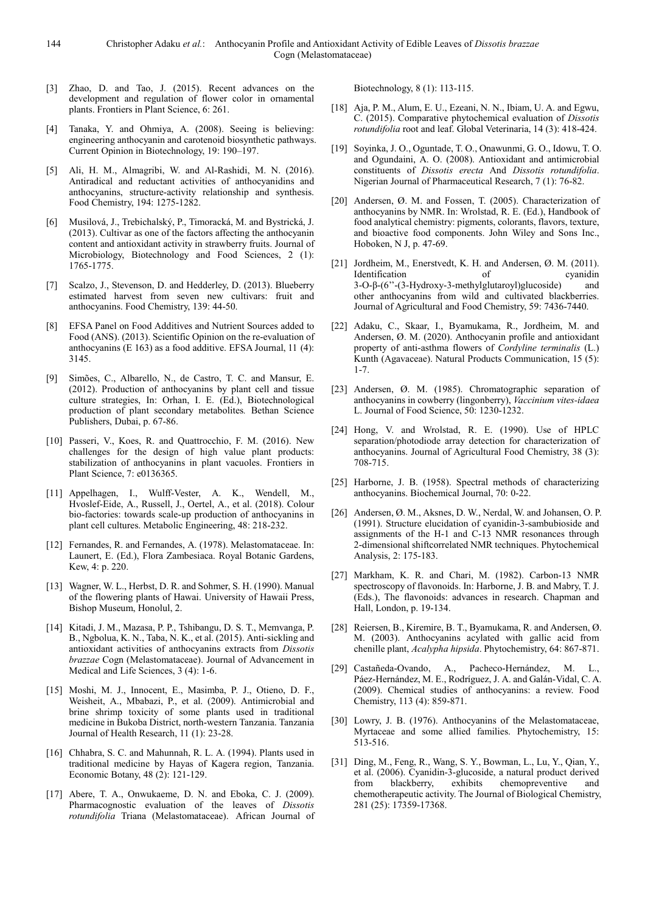- [3] Zhao, D. and Tao, J. (2015). Recent advances on the development and regulation of flower color in ornamental plants. Frontiers in Plant Science, 6: 261.
- [4] Tanaka, Y. and Ohmiya, A. (2008). Seeing is believing: engineering anthocyanin and carotenoid biosynthetic pathways. Current Opinion in Biotechnology, 19: 190–197.
- [5] Ali, H. M., Almagribi, W. and Al-Rashidi, M. N. (2016). Antiradical and reductant activities of anthocyanidins and anthocyanins, structure-activity relationship and synthesis. Food Chemistry, 194: 1275-1282.
- [6] Musilová, J., Trebichalský, P., Timoracká, M. and Bystrická, J. (2013). Cultivar as one of the factors affecting the anthocyanin content and antioxidant activity in strawberry fruits. Journal of Microbiology, Biotechnology and Food Sciences, 2 (1): 1765-1775.
- [7] Scalzo, J., Stevenson, D. and Hedderley, D. (2013). Blueberry estimated harvest from seven new cultivars: fruit and anthocyanins. Food Chemistry, 139: 44-50.
- [8] EFSA Panel on Food Additives and Nutrient Sources added to Food (ANS). (2013). Scientific Opinion on the re-evaluation of anthocyanins (E 163) as a food additive. EFSA Journal, 11 (4): 3145.
- [9] Simões, C., Albarello, N., de Castro, T. C. and Mansur, E. (2012). Production of anthocyanins by plant cell and tissue culture strategies, In: Orhan, I. E. (Ed.), Biotechnological production of plant secondary metabolites*.* Bethan Science Publishers, Dubai, p. 67-86.
- [10] Passeri, V., Koes, R. and Quattrocchio, F. M. (2016). New challenges for the design of high value plant products: stabilization of anthocyanins in plant vacuoles. Frontiers in Plant Science, 7: e0136365.
- [11] Appelhagen, I., Wulff-Vester, A. K., Wendell, M., Hvoslef-Eide, A., Russell, J., Oertel, A., et al. (2018). Colour bio-factories: towards scale-up production of anthocyanins in plant cell cultures. Metabolic Engineering, 48: 218-232.
- [12] Fernandes, R. and Fernandes, A. (1978). Melastomataceae. In: Launert, E. (Ed.), Flora Zambesiaca. Royal Botanic Gardens, Kew, 4: p. 220.
- [13] Wagner, W. L., Herbst, D. R. and Sohmer, S. H. (1990). Manual of the flowering plants of Hawai. University of Hawaii Press, Bishop Museum, Honolul, 2.
- [14] Kitadi, J. M., Mazasa, P. P., Tshibangu, D. S. T., Memvanga, P. B., Ngbolua, K. N., Taba, N. K., et al. (2015). Anti-sickling and antioxidant activities of anthocyanins extracts from *Dissotis brazzae* Cogn (Melastomataceae). Journal of Advancement in Medical and Life Sciences, 3 (4): 1-6.
- [15] Moshi, M. J., Innocent, E., Masimba, P. J., Otieno, D. F., Weisheit, A., Mbabazi, P., et al. (2009). Antimicrobial and brine shrimp toxicity of some plants used in traditional medicine in Bukoba District, north-western Tanzania. Tanzania Journal of Health Research, 11 (1): 23-28.
- [16] Chhabra, S. C. and Mahunnah, R. L. A. (1994). Plants used in traditional medicine by Hayas of Kagera region, Tanzania. Economic Botany, 48 (2): 121-129.
- [17] Abere, T. A., Onwukaeme, D. N. and Eboka, C. J. (2009). Pharmacognostic evaluation of the leaves of *Dissotis rotundifolia* Triana (Melastomataceae). African Journal of

Biotechnology, 8 (1): 113-115.

- [18] Aja, P. M., Alum, E. U., Ezeani, N. N., Ibiam, U. A. and Egwu, C. (2015). Comparative phytochemical evaluation of *Dissotis rotundifolia* root and leaf. Global Veterinaria, 14 (3): 418-424.
- [19] Soyinka, J. O., Oguntade, T. O., Onawunmi, G. O., Idowu, T. O. and Ogundaini, A. O. (2008). Antioxidant and antimicrobial constituents of *Dissotis erecta* And *Dissotis rotundifolia*. Nigerian Journal of Pharmaceutical Research, 7 (1): 76-82.
- [20] Andersen, Ø. M. and Fossen, T. (2005). Characterization of anthocyanins by NMR. In: Wrolstad, R. E. (Ed.), Handbook of food analytical chemistry: pigments, colorants, flavors, texture, and bioactive food components. John Wiley and Sons Inc., Hoboken, N J, p. 47-69.
- [21] Jordheim, M., Enerstvedt, K. H. and Andersen, Ø. M. (2011). Identification of 3-O-β-(6''-(3-Hydroxy-3-methylglutaroyl)glucoside) and other anthocyanins from wild and cultivated blackberries. Journal of Agricultural and Food Chemistry, 59: 7436-7440.
- [22] Adaku, C., Skaar, I., Byamukama, R., Jordheim, M. and Andersen, Ø. M. (2020). Anthocyanin profile and antioxidant property of anti-asthma flowers of *Cordyline terminalis* (L.) Kunth (Agavaceae). Natural Products Communication, 15 (5): 1-7.
- [23] Andersen, Ø. M. (1985). Chromatographic separation of anthocyanins in cowberry (lingonberry), *Vaccinium vites-idaea* L. Journal of Food Science, 50: 1230-1232.
- [24] Hong, V. and Wrolstad, R. E. (1990). Use of HPLC separation/photodiode array detection for characterization of anthocyanins. Journal of Agricultural Food Chemistry, 38 (3): 708-715.
- [25] Harborne, J. B. (1958). Spectral methods of characterizing anthocyanins. Biochemical Journal, 70: 0-22.
- [26] Andersen, Ø. M., Aksnes, D. W., Nerdal, W. and Johansen, O. P. (1991). Structure elucidation of cyanidin-3-sambubioside and assignments of the H-1 and C-13 NMR resonances through 2-dimensional shiftcorrelated NMR techniques. Phytochemical Analysis, 2: 175-183.
- [27] Markham, K. R. and Chari, M. (1982). Carbon-13 NMR spectroscopy of flavonoids. In: Harborne, J. B. and Mabry, T. J. (Eds.), The flavonoids: advances in research. Chapman and Hall, London, p. 19-134.
- [28] Reiersen, B., Kiremire, B. T., Byamukama, R. and Andersen, Ø. M. (2003). Anthocyanins acylated with gallic acid from chenille plant, *Acalypha hipsida*. Phytochemistry, 64: 867-871.
- [29] Castañeda-Ovando, A., Pacheco-Hernández, M. L., Páez-Hernández, M. E., Rodríguez, J. A. and Galán-Vidal, C. A. (2009). Chemical studies of anthocyanins: a review. Food Chemistry, 113 (4): 859-871.
- [30] Lowry, J. B. (1976). Anthocyanins of the Melastomataceae, Myrtaceae and some allied families. Phytochemistry, 15: 513-516.
- [31] Ding, M., Feng, R., Wang, S. Y., Bowman, L., Lu, Y., Qian, Y., et al. (2006). Cyanidin-3-glucoside, a natural product derived from blackberry, exhibits chemopreventive and chemotherapeutic activity. The Journal of Biological Chemistry, 281 (25): 17359-17368.